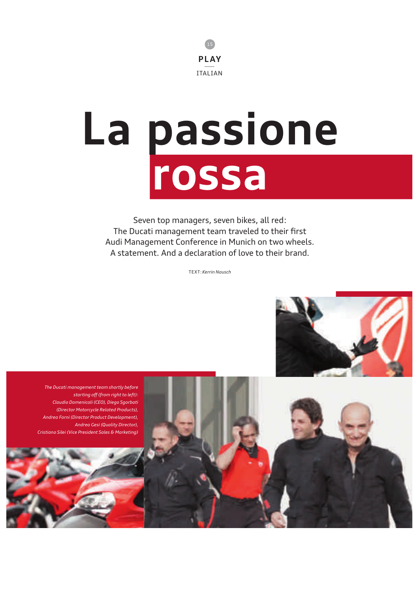

# **La passione rossa**

Seven top managers, seven bikes, all red : The Ducati management team traveled to their first Audi Management Conference in Munich on two wheels. A statement. And a declaration of love to their brand.

TEXT : *Kerrin Nausch*



*The Ducati management team shortly before starting off (from right to left) : Claudio Domenicali (CEO), Diego Sgorbati (Director Motorcycle Related Products), Andrea Forni (Director Product Development), Andrea Gesi (Quality Director), Cristiano Silei (Vice President Sales & Marketing)*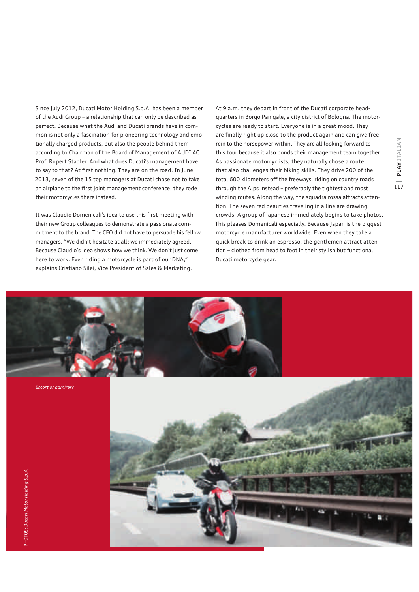Since July 2012, Ducati Motor Holding S.p.A. has been a member of the Audi Group – a relationship that can only be described as perfect. Because what the Audi and Ducati brands have in common is not only a fascination for pioneering technology and emotionally charged products, but also the people behind them – according to Chairman of the Board of Management of AUDI AG Prof. Rupert Stadler. And what does Ducati's management have to say to that? At first nothing. They are on the road. In June 2013, seven of the 15 top managers at Ducati chose not to take an airplane to the first joint management conference; they rode their motorcycles there instead.

It was Claudio Domenicali's idea to use this first meeting with their new Group colleagues to demonstrate a passionate commitment to the brand. The CEO did not have to persuade his fellow managers. "We didn't hesitate at all; we immediately agreed. Because Claudio's idea shows how we think. We don't just come here to work. Even riding a motorcycle is part of our DNA," explains Cristiano Silei, Vice President of Sales & Marketing.

At 9 a.m. they depart in front of the Ducati corporate headquarters in Borgo Panigale, a city district of Bologna. The motorcycles are ready to start. Everyone is in a great mood. They are finally right up close to the product again and can give free rein to the horsepower within. They are all looking forward to this tour because it also bonds their management team together. As passionate motorcyclists, they naturally chose a route that also challenges their biking skills. They drive 200 of the total 600 kilometers off the freeways, riding on country roads through the Alps instead – preferably the tightest and most winding routes. Along the way, the squadra rossa attracts attention. The seven red beauties traveling in a line are drawing crowds. A group of Japanese immediately begins to take photos. This pleases Domenicali especially. Because Japan is the biggest motorcycle manufacturer worldwide. Even when they take a quick break to drink an espresso, the gentlemen attract attention – clothed from head to foot in their stylish but functional Ducati motorcycle gear.



*Escort or admirer ?*

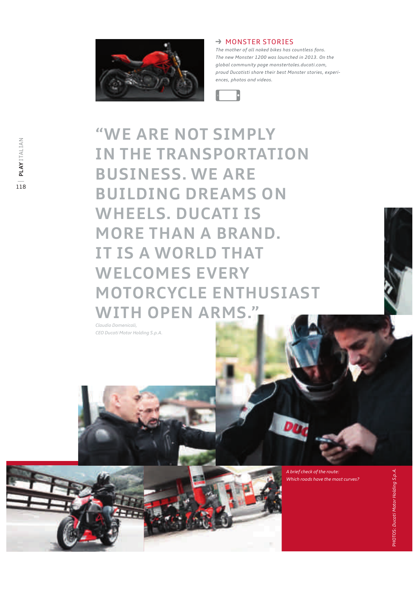

## $\rightarrow$  MONSTER STORIES

*The mother of all naked bikes has countless fans. The new Monster 1200 was launched in 2013. On the global community page monstertales.ducati.com, proud Ducatisti share their best Monster stories, experiences, photos and videos.*



**"WE ARE NOT SIMPLY IN THE TRANSPORTATION BUSINESS. WE ARE BUILDING DREAMS ON WHEELS. DUCATI IS MORE THAN A BRAND. IT IS A WORLD THAT WELCOMES EVERY MOTORCYCLE ENTHUSIAST WITH OPEN ARMS."**

*Claudio Domenicali, CEO Ducati Motor Holding S.p.A.*

> *A brief check of the route : Which roads have the most curves ?*

Dr.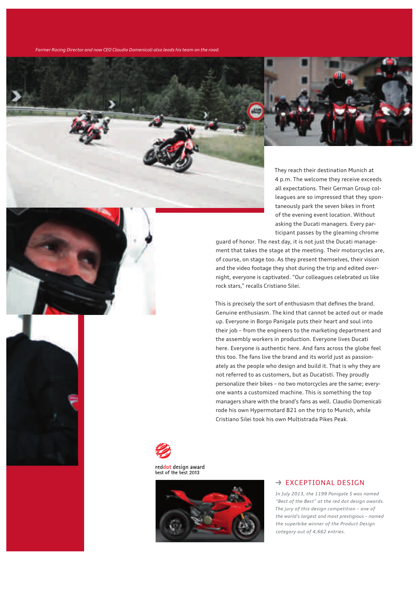*Former Racing Director and now CEO Claudio Domenicali also leads his team on the road.*



They reach their destination Munich at 4 p.m. The welcome they receive exceeds all expectations. Their German Group colleagues are so impressed that they spontaneously park the seven bikes in front of the evening event location. Without asking the Ducati managers. Every participant passes by the gleaming chrome

guard of honor. The next day, it is not just the Ducati management that takes the stage at the meeting. Their motorcycles are, of course, on stage too. As they present themselves, their vision and the video footage they shot during the trip and edited overnight, everyone is captivated. "Our colleagues celebrated us like rock stars," recalls Cristiano Silei.

This is precisely the sort of enthusiasm that defines the brand. Genuine enthusiasm. The kind that cannot be acted out or made up. Everyone in Borgo Panigale puts their heart and soul into their job – from the engineers to the marketing department and the assembly workers in production. Everyone lives Ducati here. Everyone is authentic here. And fans across the globe feel this too. The fans live the brand and its world just as passionately as the people who design and build it. That is why they are not referred to as customers, but as Ducatisti. They proudly personalize their bikes - no two motorcycles are the same; everyone wants a customized machine. This is something the top managers share with the brand's fans as well. Claudio Domenicali rode his own Hypermotard 821 on the trip to Munich, while Cristiano Silei took his own Multistrada Pikes Peak.





#### $\rightarrow$  EXCEPTIONAL DESIGN

*In July 2013, the 1199 Panigale S was named "Best of the Best" at the red dot design awards. The jury of this design competition – one of the world's largest and most prestigious – named the superbike winner of the Product Design category out of 4,662 entries.*